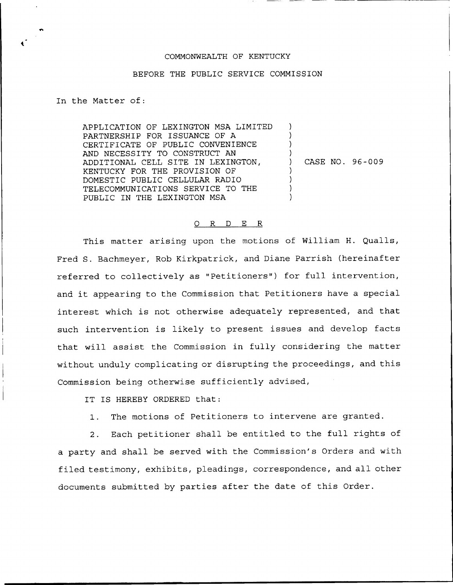## COMMONWEALTH OF KENTUCKY

## BEFORE THE PUBLIC SERVICE COMMISSION

In the Matter of:

APPLICATION OF LEXINGTON MSA LIMITED PARTNERSHIP FOR ISSUANCE OF A CERTIFICATE OF PUBLIC CONVENIENCE AND NECESSITY TO CONSTRUCT AN ADDITIONAL CELL SITE IN LEXINGTON, KENTUCKY FOR THE PROVISION OF DOMESTIC PUBLIC CELLULAR RADIO TELECOMMUNICATIONS SERVICE TO THE PUBLIC IN THE LEXINGTON MSA ) ) ) ) ) ) ) )

) CASE NO. 96 —009

## 0 R <sup>D</sup> E R

This matter arising upon the motions of William H. Qualls, Fred S. Bachmeyer, Rob Kirkpatrick, and Diane Parrish (hereinafter referred to collectively as "Petitioners") for full intervention, and it appearing to the Commission that Petitioners have <sup>a</sup> special interest which is not otherwise adequately represented, and that such intervention is likely to present issues and develop facts that will assist the Commission in fully considering the matter without unduly complicating or disrupting the proceedings, and this Commission being otherwise sufficiently advised,

IT IS HEREBY ORDERED that:

1. The motions of Petitioners to intervene are granted.

2. Each petitioner shall be entitled to the full rights of a party and shall be served with the Commission's Orders and with filed testimony, exhibits, pleadings, correspondence, and all other documents submitted by parties after the date of this Order.